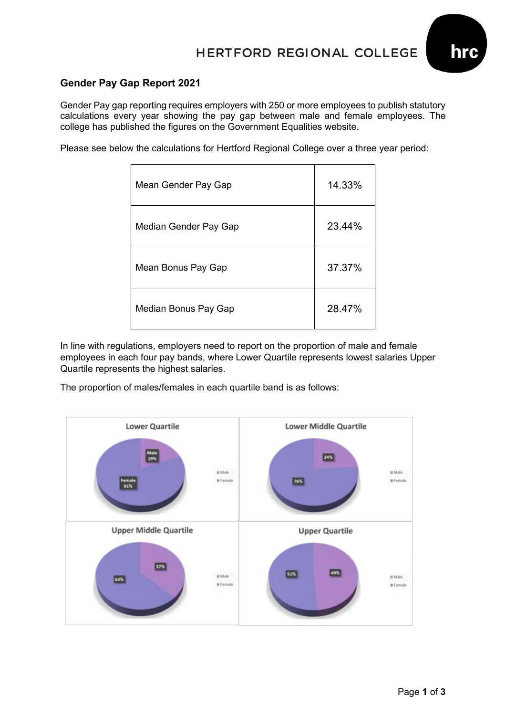## HERTFORD REGIONAL COLLEGE



### **Gender Pay Gap Report 2021**

Gender Pay gap reporting requires employers with 250 or more employees to publish statutory calculations every year showing the pay gap between male and female employees. The college has published the figures on the Government Equalities website.

Please see below the calculations for Hertford Regional College over a three year period:

| Mean Gender Pay Gap   | 14.33% |
|-----------------------|--------|
| Median Gender Pay Gap | 23.44% |
| Mean Bonus Pay Gap    | 37.37% |
| Median Bonus Pay Gap  | 28.47% |

In line with regulations, employers need to report on the proportion of male and female employees in each four pay bands, where Lower Quartile represents lowest salaries Upper Quartile represents the highest salaries.

The proportion of males/females in each quartile band is as follows:

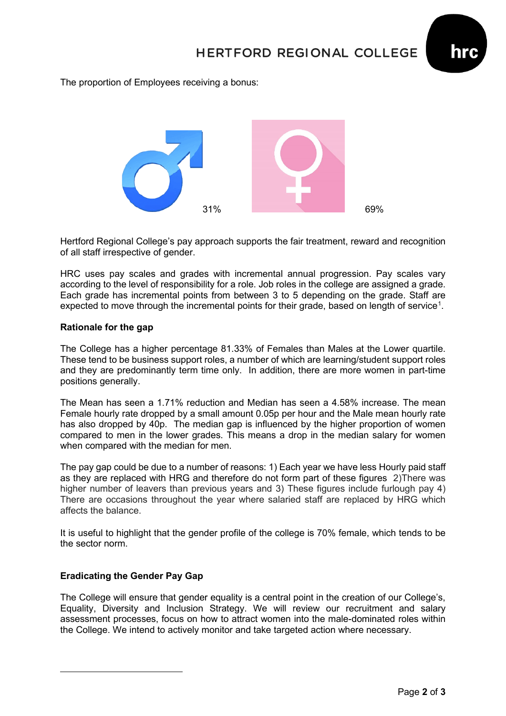

The proportion of Employees receiving a bonus:



Hertford Regional College's pay approach supports the fair treatment, reward and recognition of all staff irrespective of gender.

HRC uses pay scales and grades with incremental annual progression. Pay scales vary according to the level of responsibility for a role. Job roles in the college are assigned a grade. Each grade has incremental points from between 3 to 5 depending on the grade. Staff are expected to move through the incremental points for their grade, based on length of service<sup>[1](#page-1-0)</sup>.

#### **Rationale for the gap**

The College has a higher percentage 81.33% of Females than Males at the Lower quartile. These tend to be business support roles, a number of which are learning/student support roles and they are predominantly term time only. In addition, there are more women in part-time positions generally.

The Mean has seen a 1.71% reduction and Median has seen a 4.58% increase. The mean Female hourly rate dropped by a small amount 0.05p per hour and the Male mean hourly rate has also dropped by 40p. The median gap is influenced by the higher proportion of women compared to men in the lower grades. This means a drop in the median salary for women when compared with the median for men.

The pay gap could be due to a number of reasons: 1) Each year we have less Hourly paid staff as they are replaced with HRG and therefore do not form part of these figures 2)There was higher number of leavers than previous years and 3) These figures include furlough pay 4) There are occasions throughout the year where salaried staff are replaced by HRG which affects the balance.

It is useful to highlight that the gender profile of the college is 70% female, which tends to be the sector norm.

### **Eradicating the Gender Pay Gap**

<span id="page-1-0"></span>The College will ensure that gender equality is a central point in the creation of our College's, Equality, Diversity and Inclusion Strategy. We will review our recruitment and salary assessment processes, focus on how to attract women into the male-dominated roles within the College. We intend to actively monitor and take targeted action where necessary.